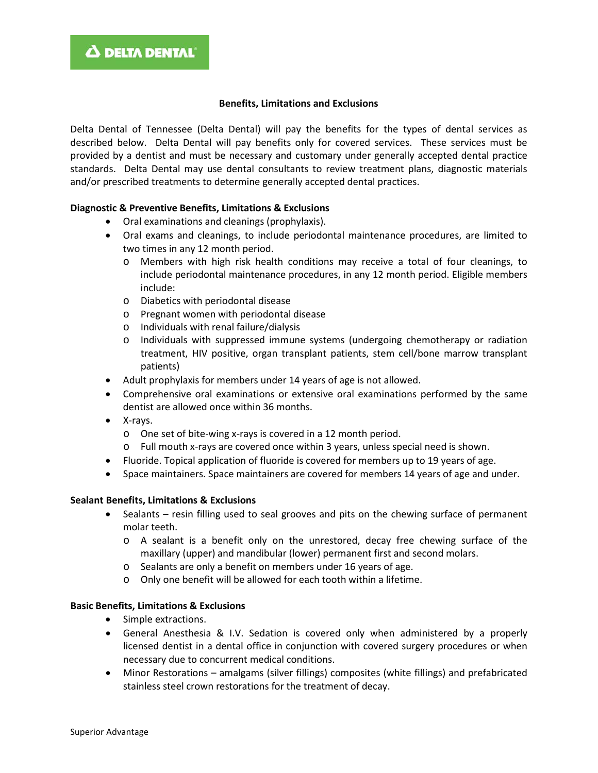#### **Benefits, Limitations and Exclusions**

Delta Dental of Tennessee (Delta Dental) will pay the benefits for the types of dental services as described below. Delta Dental will pay benefits only for covered services. These services must be provided by a dentist and must be necessary and customary under generally accepted dental practice standards. Delta Dental may use dental consultants to review treatment plans, diagnostic materials and/or prescribed treatments to determine generally accepted dental practices.

#### **Diagnostic & Preventive Benefits, Limitations & Exclusions**

- Oral examinations and cleanings (prophylaxis).
- Oral exams and cleanings, to include periodontal maintenance procedures, are limited to two times in any 12 month period.
	- o Members with high risk health conditions may receive a total of four cleanings, to include periodontal maintenance procedures, in any 12 month period. Eligible members include:
	- o Diabetics with periodontal disease
	- o Pregnant women with periodontal disease
	- o Individuals with renal failure/dialysis
	- o Individuals with suppressed immune systems (undergoing chemotherapy or radiation treatment, HIV positive, organ transplant patients, stem cell/bone marrow transplant patients)
- Adult prophylaxis for members under 14 years of age is not allowed.
- Comprehensive oral examinations or extensive oral examinations performed by the same dentist are allowed once within 36 months.
- X-rays.
	- o One set of bite-wing x-rays is covered in a 12 month period.
	- o Full mouth x-rays are covered once within 3 years, unless special need is shown.
- Fluoride. Topical application of fluoride is covered for members up to 19 years of age.
- Space maintainers. Space maintainers are covered for members 14 years of age and under.

#### **Sealant Benefits, Limitations & Exclusions**

- Sealants resin filling used to seal grooves and pits on the chewing surface of permanent molar teeth.
	- o A sealant is a benefit only on the unrestored, decay free chewing surface of the maxillary (upper) and mandibular (lower) permanent first and second molars.
	- o Sealants are only a benefit on members under 16 years of age.
	- o Only one benefit will be allowed for each tooth within a lifetime.

#### **Basic Benefits, Limitations & Exclusions**

- Simple extractions.
- General Anesthesia & I.V. Sedation is covered only when administered by a properly licensed dentist in a dental office in conjunction with covered surgery procedures or when necessary due to concurrent medical conditions.
- Minor Restorations amalgams (silver fillings) composites (white fillings) and prefabricated stainless steel crown restorations for the treatment of decay.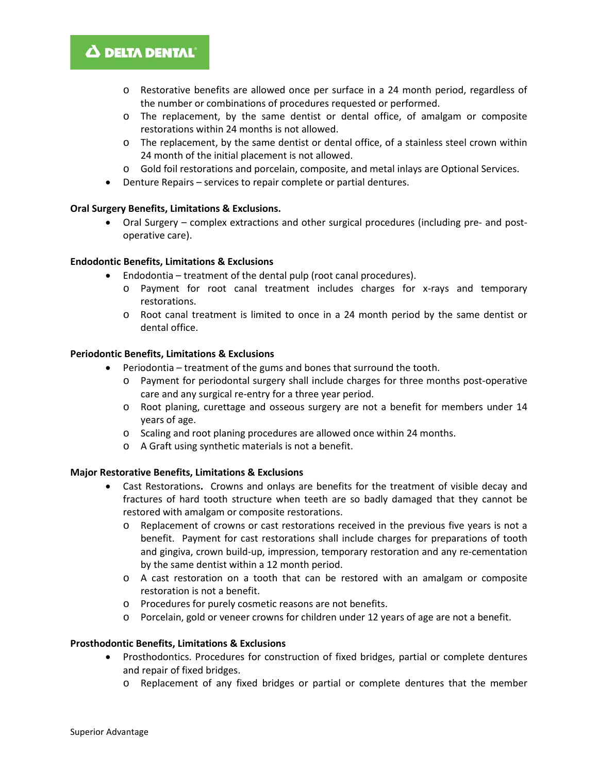## Δ DELTA DENTAL'

- o Restorative benefits are allowed once per surface in a 24 month period, regardless of the number or combinations of procedures requested or performed.
- o The replacement, by the same dentist or dental office, of amalgam or composite restorations within 24 months is not allowed.
- o The replacement, by the same dentist or dental office, of a stainless steel crown within 24 month of the initial placement is not allowed.
- o Gold foil restorations and porcelain, composite, and metal inlays are Optional Services.
- Denture Repairs services to repair complete or partial dentures.

#### **Oral Surgery Benefits, Limitations & Exclusions.**

• Oral Surgery – complex extractions and other surgical procedures (including pre- and postoperative care).

#### **Endodontic Benefits, Limitations & Exclusions**

- Endodontia treatment of the dental pulp (root canal procedures).
	- o Payment for root canal treatment includes charges for x-rays and temporary restorations.
	- o Root canal treatment is limited to once in a 24 month period by the same dentist or dental office.

#### **Periodontic Benefits, Limitations & Exclusions**

- Periodontia treatment of the gums and bones that surround the tooth.
	- o Payment for periodontal surgery shall include charges for three months post-operative care and any surgical re-entry for a three year period.
	- o Root planing, curettage and osseous surgery are not a benefit for members under 14 years of age.
	- o Scaling and root planing procedures are allowed once within 24 months.
	- o A Graft using synthetic materials is not a benefit.

#### **Major Restorative Benefits, Limitations & Exclusions**

- Cast Restorations**.** Crowns and onlays are benefits for the treatment of visible decay and fractures of hard tooth structure when teeth are so badly damaged that they cannot be restored with amalgam or composite restorations.
	- o Replacement of crowns or cast restorations received in the previous five years is not a benefit. Payment for cast restorations shall include charges for preparations of tooth and gingiva, crown build-up, impression, temporary restoration and any re-cementation by the same dentist within a 12 month period.
	- o A cast restoration on a tooth that can be restored with an amalgam or composite restoration is not a benefit.
	- o Procedures for purely cosmetic reasons are not benefits.
	- o Porcelain, gold or veneer crowns for children under 12 years of age are not a benefit.

#### **Prosthodontic Benefits, Limitations & Exclusions**

- Prosthodontics. Procedures for construction of fixed bridges, partial or complete dentures and repair of fixed bridges.
	- o Replacement of any fixed bridges or partial or complete dentures that the member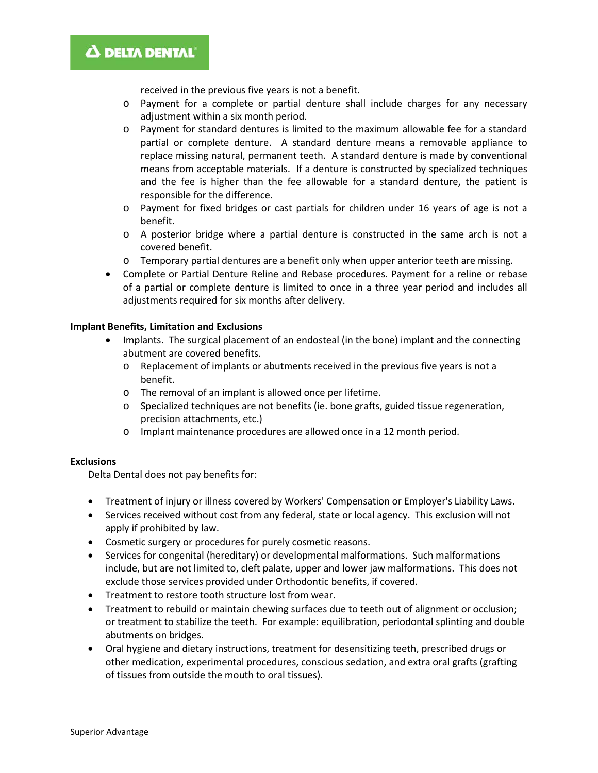## **A DELTA DENTAL**

received in the previous five years is not a benefit.

- o Payment for a complete or partial denture shall include charges for any necessary adjustment within a six month period.
- o Payment for standard dentures is limited to the maximum allowable fee for a standard partial or complete denture. A standard denture means a removable appliance to replace missing natural, permanent teeth. A standard denture is made by conventional means from acceptable materials. If a denture is constructed by specialized techniques and the fee is higher than the fee allowable for a standard denture, the patient is responsible for the difference.
- o Payment for fixed bridges or cast partials for children under 16 years of age is not a benefit.
- o A posterior bridge where a partial denture is constructed in the same arch is not a covered benefit.
- o Temporary partial dentures are a benefit only when upper anterior teeth are missing.
- Complete or Partial Denture Reline and Rebase procedures. Payment for a reline or rebase of a partial or complete denture is limited to once in a three year period and includes all adjustments required for six months after delivery.

#### **Implant Benefits, Limitation and Exclusions**

- Implants. The surgical placement of an endosteal (in the bone) implant and the connecting abutment are covered benefits.
	- $\circ$  Replacement of implants or abutments received in the previous five years is not a benefit.
	- o The removal of an implant is allowed once per lifetime.
	- o Specialized techniques are not benefits (ie. bone grafts, guided tissue regeneration, precision attachments, etc.)
	- o Implant maintenance procedures are allowed once in a 12 month period.

#### **Exclusions**

Delta Dental does not pay benefits for:

- Treatment of injury or illness covered by Workers' Compensation or Employer's Liability Laws.
- Services received without cost from any federal, state or local agency. This exclusion will not apply if prohibited by law.
- Cosmetic surgery or procedures for purely cosmetic reasons.
- Services for congenital (hereditary) or developmental malformations. Such malformations include, but are not limited to, cleft palate, upper and lower jaw malformations. This does not exclude those services provided under Orthodontic benefits, if covered.
- Treatment to restore tooth structure lost from wear.
- Treatment to rebuild or maintain chewing surfaces due to teeth out of alignment or occlusion; or treatment to stabilize the teeth. For example: equilibration, periodontal splinting and double abutments on bridges.
- Oral hygiene and dietary instructions, treatment for desensitizing teeth, prescribed drugs or other medication, experimental procedures, conscious sedation, and extra oral grafts (grafting of tissues from outside the mouth to oral tissues).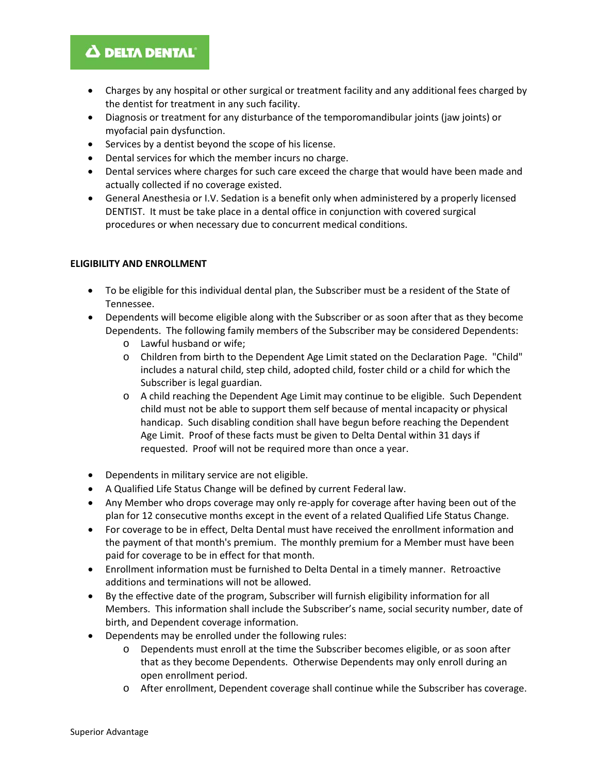## **A DELTA DENTAL**

- Charges by any hospital or other surgical or treatment facility and any additional fees charged by the dentist for treatment in any such facility.
- Diagnosis or treatment for any disturbance of the temporomandibular joints (jaw joints) or myofacial pain dysfunction.
- Services by a dentist beyond the scope of his license.
- Dental services for which the member incurs no charge.
- Dental services where charges for such care exceed the charge that would have been made and actually collected if no coverage existed.
- General Anesthesia or I.V. Sedation is a benefit only when administered by a properly licensed DENTIST. It must be take place in a dental office in conjunction with covered surgical procedures or when necessary due to concurrent medical conditions.

### **ELIGIBILITY AND ENROLLMENT**

- To be eligible for this individual dental plan, the Subscriber must be a resident of the State of Tennessee.
- Dependents will become eligible along with the Subscriber or as soon after that as they become Dependents. The following family members of the Subscriber may be considered Dependents:
	- o Lawful husband or wife;
	- o Children from birth to the Dependent Age Limit stated on the Declaration Page. "Child" includes a natural child, step child, adopted child, foster child or a child for which the Subscriber is legal guardian.
	- o A child reaching the Dependent Age Limit may continue to be eligible. Such Dependent child must not be able to support them self because of mental incapacity or physical handicap. Such disabling condition shall have begun before reaching the Dependent Age Limit. Proof of these facts must be given to Delta Dental within 31 days if requested. Proof will not be required more than once a year.
- Dependents in military service are not eligible.
- A Qualified Life Status Change will be defined by current Federal law.
- Any Member who drops coverage may only re-apply for coverage after having been out of the plan for 12 consecutive months except in the event of a related Qualified Life Status Change.
- For coverage to be in effect, Delta Dental must have received the enrollment information and the payment of that month's premium. The monthly premium for a Member must have been paid for coverage to be in effect for that month.
- Enrollment information must be furnished to Delta Dental in a timely manner. Retroactive additions and terminations will not be allowed.
- By the effective date of the program, Subscriber will furnish eligibility information for all Members. This information shall include the Subscriber's name, social security number, date of birth, and Dependent coverage information.
- Dependents may be enrolled under the following rules:
	- o Dependents must enroll at the time the Subscriber becomes eligible, or as soon after that as they become Dependents. Otherwise Dependents may only enroll during an open enrollment period.
	- o After enrollment, Dependent coverage shall continue while the Subscriber has coverage.